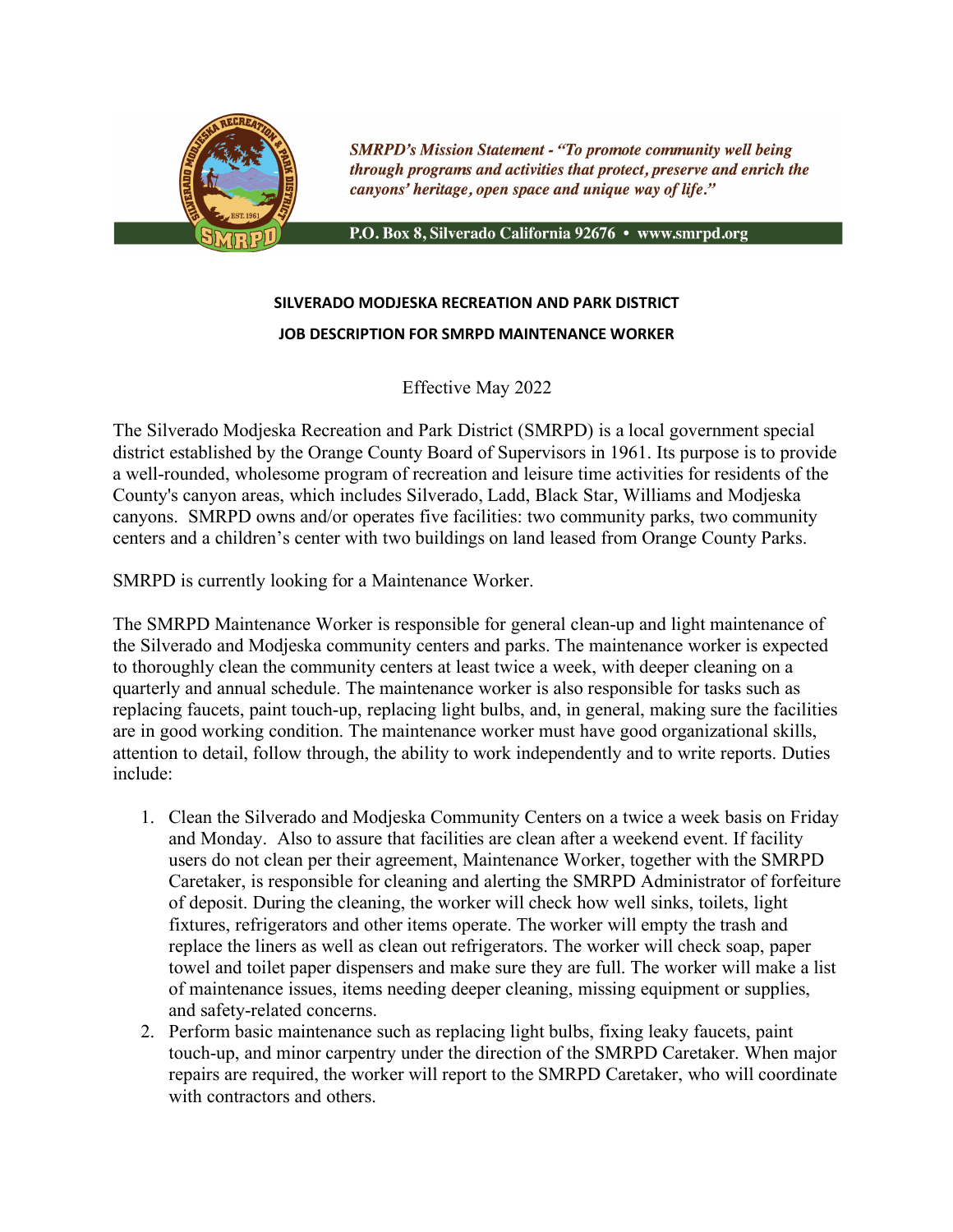

**SMRPD's Mission Statement - "To promote community well being** through programs and activities that protect, preserve and enrich the canyons' heritage, open space and unique way of life."

P.O. Box 8, Silverado California 92676 · www.smrpd.org

## **SILVERADO MODJESKA RECREATION AND PARK DISTRICT JOB DESCRIPTION FOR SMRPD MAINTENANCE WORKER**

Effective May 2022

The Silverado Modjeska Recreation and Park District (SMRPD) is a local government special district established by the Orange County Board of Supervisors in 1961. Its purpose is to provide a well-rounded, wholesome program of recreation and leisure time activities for residents of the County's canyon areas, which includes Silverado, Ladd, Black Star, Williams and Modjeska canyons. SMRPD owns and/or operates five facilities: two community parks, two community centers and a children's center with two buildings on land leased from Orange County Parks.

SMRPD is currently looking for a Maintenance Worker.

The SMRPD Maintenance Worker is responsible for general clean-up and light maintenance of the Silverado and Modjeska community centers and parks. The maintenance worker is expected to thoroughly clean the community centers at least twice a week, with deeper cleaning on a quarterly and annual schedule. The maintenance worker is also responsible for tasks such as replacing faucets, paint touch-up, replacing light bulbs, and, in general, making sure the facilities are in good working condition. The maintenance worker must have good organizational skills, attention to detail, follow through, the ability to work independently and to write reports. Duties include:

- 1. Clean the Silverado and Modjeska Community Centers on a twice a week basis on Friday and Monday. Also to assure that facilities are clean after a weekend event. If facility users do not clean per their agreement, Maintenance Worker, together with the SMRPD Caretaker, is responsible for cleaning and alerting the SMRPD Administrator of forfeiture of deposit. During the cleaning, the worker will check how well sinks, toilets, light fixtures, refrigerators and other items operate. The worker will empty the trash and replace the liners as well as clean out refrigerators. The worker will check soap, paper towel and toilet paper dispensers and make sure they are full. The worker will make a list of maintenance issues, items needing deeper cleaning, missing equipment or supplies, and safety-related concerns.
- 2. Perform basic maintenance such as replacing light bulbs, fixing leaky faucets, paint touch-up, and minor carpentry under the direction of the SMRPD Caretaker. When major repairs are required, the worker will report to the SMRPD Caretaker, who will coordinate with contractors and others.